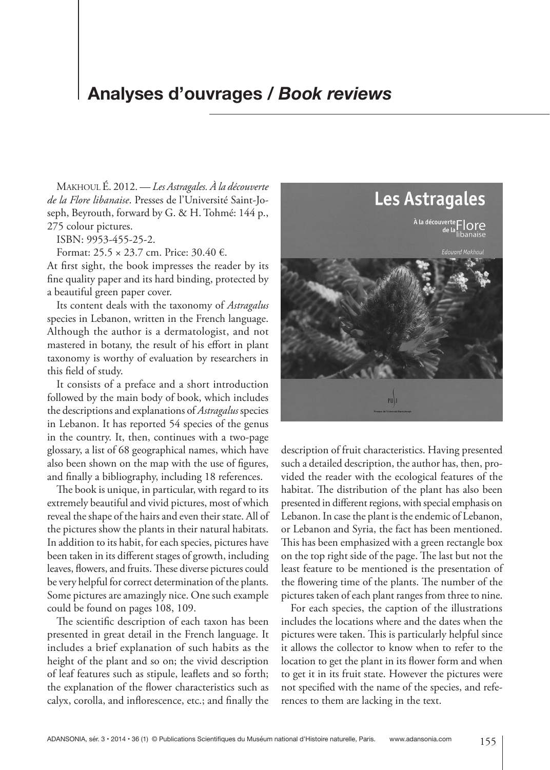## **Analyses d'ouvrages /** *Book reviews*

Makhoul É. 2012. — *Les Astragales. À la découverte de la Flore libanaise*. Presses de l'Université Saint-Joseph, Beyrouth, forward by G. & H. Tohmé: 144 p., 275 colour pictures.

ISBN: 9953-455-25-2.

Format: 25.5 × 23.7 cm. Price: 30.40 €.

At first sight, the book impresses the reader by its fine quality paper and its hard binding, protected by a beautiful green paper cover.

Its content deals with the taxonomy of *Astragalus* species in Lebanon, written in the French language. Although the author is a dermatologist, and not mastered in botany, the result of his effort in plant taxonomy is worthy of evaluation by researchers in this field of study.

It consists of a preface and a short introduction followed by the main body of book, which includes the descriptions and explanations of *Astragalus* species in Lebanon. It has reported 54 species of the genus in the country. It, then, continues with a two-page glossary, a list of 68 geographical names, which have also been shown on the map with the use of figures, and finally a bibliography, including 18 references.

The book is unique, in particular, with regard to its extremely beautiful and vivid pictures, most of which reveal the shape of the hairs and even their state. All of the pictures show the plants in their natural habitats. In addition to its habit, for each species, pictures have been taken in its different stages of growth, including leaves, flowers, and fruits. These diverse pictures could be very helpful for correct determination of the plants. Some pictures are amazingly nice. One such example could be found on pages 108, 109.

The scientific description of each taxon has been presented in great detail in the French language. It includes a brief explanation of such habits as the height of the plant and so on; the vivid description of leaf features such as stipule, leaflets and so forth; the explanation of the flower characteristics such as calyx, corolla, and inflorescence, etc.; and finally the



description of fruit characteristics. Having presented such a detailed description, the author has, then, provided the reader with the ecological features of the habitat. The distribution of the plant has also been presented in different regions, with special emphasis on Lebanon. In case the plant is the endemic of Lebanon, or Lebanon and Syria, the fact has been mentioned. This has been emphasized with a green rectangle box on the top right side of the page. The last but not the least feature to be mentioned is the presentation of the flowering time of the plants. The number of the pictures taken of each plant ranges from three to nine.

For each species, the caption of the illustrations includes the locations where and the dates when the pictures were taken. This is particularly helpful since it allows the collector to know when to refer to the location to get the plant in its flower form and when to get it in its fruit state. However the pictures were not specified with the name of the species, and references to them are lacking in the text.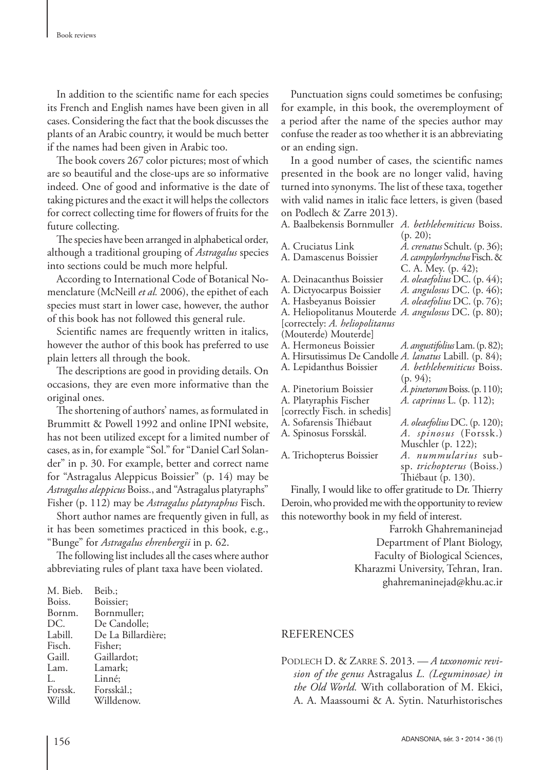In addition to the scientific name for each species its French and English names have been given in all cases. Considering the fact that the book discusses the plants of an Arabic country, it would be much better if the names had been given in Arabic too.

The book covers 267 color pictures; most of which are so beautiful and the close-ups are so informative indeed. One of good and informative is the date of taking pictures and the exact it will helps the collectors for correct collecting time for flowers of fruits for the future collecting.

The species have been arranged in alphabetical order, although a traditional grouping of *Astragalus* species into sections could be much more helpful.

According to International Code of Botanical Nomenclature (McNeill *et al.* 2006), the epithet of each species must start in lower case, however, the author of this book has not followed this general rule.

Scientific names are frequently written in italics, however the author of this book has preferred to use plain letters all through the book.

The descriptions are good in providing details. On occasions, they are even more informative than the original ones.

The shortening of authors' names, as formulated in Brummitt & Powell 1992 and online IPNI website, has not been utilized except for a limited number of cases, as in, for example "Sol." for "Daniel Carl Solander" in p. 30. For example, better and correct name for "Astragalus Aleppicus Boissier" (p. 14) may be *Astragalus aleppicus* Boiss., and "Astragalus platyraphs" Fisher (p. 112) may be *Astragalus platyraphus* Fisch.

Short author names are frequently given in full, as it has been sometimes practiced in this book, e.g., "Bunge" for *Astragalus ehrenbergii* in p. 62.

The following list includes all the cases where author abbreviating rules of plant taxa have been violated.

| M. Bieb. | Beib.;             |
|----------|--------------------|
| Boiss.   | Boissier:          |
| Bornm.   | Bornmuller;        |
| DC.      | De Candolle;       |
| Labill.  | De La Billardière; |
| Fisch.   | Fisher:            |
| Gaill.   | Gaillardot:        |
| Lam.     | Lamark;            |
| L.       | Linné:             |
| Forssk.  | Forsskål.;         |
| Willd    | Willdenow.         |
|          |                    |

Punctuation signs could sometimes be confusing; for example, in this book, the overemployment of a period after the name of the species author may confuse the reader as too whether it is an abbreviating or an ending sign.

In a good number of cases, the scientific names presented in the book are no longer valid, having turned into synonyms. The list of these taxa, together with valid names in italic face letters, is given (based on Podlech & Zarre 2013).

A. Baalbekensis Bornmuller *A. bethlehemiticus* Boiss.

|                                                          | (p. 20);                            |
|----------------------------------------------------------|-------------------------------------|
| A. Cruciatus Link                                        | A. crenatus Schult. (p. 36);        |
| A. Damascenus Boissier                                   | A. campylorhynchus Fisch. &         |
|                                                          | C. A. Mey. (p. 42);                 |
| A. Deinacanthus Boissier                                 | A. oleaefolius DC. (p. 44);         |
| A. Dictyocarpus Boissier                                 | A. angulosus DC. $(p. 46)$ ;        |
| A. Hasbeyanus Boissier                                   | A. oleaefolius DC. (p. 76);         |
| A. Heliopolitanus Mouterde                               | A. angulosus DC. (p. 80);           |
| [correctely: A. heliopolitanus                           |                                     |
| (Mouterde) Mouterde]                                     |                                     |
| A. Hermoneus Boissier                                    | A. angustifolius Lam. (p. 82);      |
| A. Hirsutissimus De Candolle A. lanatus Labill. (p. 84); |                                     |
| A. Lepidanthus Boissier                                  | A. bethlehemiticus Boiss.           |
|                                                          | (p. 94);                            |
| A. Pinetorium Boissier                                   | A. pinetorum Boiss. (p. 110);       |
| A. Platyraphis Fischer                                   | <i>A. caprinus</i> L. (p. 112);     |
| [correctly Fisch. in schedis]                            |                                     |
| A. Sofarensis Thiébaut                                   | <i>A. oleaefolius</i> DC. (p. 120); |
| A. Spinosus Forsskål.                                    | A. spinosus (Forssk.)               |
|                                                          | Muschler (p. 122);                  |
| A. Trichopterus Boissier                                 | <i>nummularius</i> sub-<br>А.       |
|                                                          | sp. <i>trichopterus</i> (Boiss.)    |
|                                                          | Thiébaut (p. 130).                  |

Finally, I would like to offer gratitude to Dr. Thierry Deroin, who provided me with the opportunity to review this noteworthy book in my field of interest.

> Farrokh Ghahremaninejad Department of Plant Biology, Faculty of Biological Sciences, Kharazmi University, Tehran, Iran. ghahremaninejad@khu.ac.ir

## **REFERENCES**

PODLECH D. & ZARRE S. 2013. - A taxonomic revi*sion of the genus* Astragalus *L. (Leguminosae) in the Old World.* With collaboration of M. Ekici, A. A. Maassoumi & A. Sytin. Naturhistorisches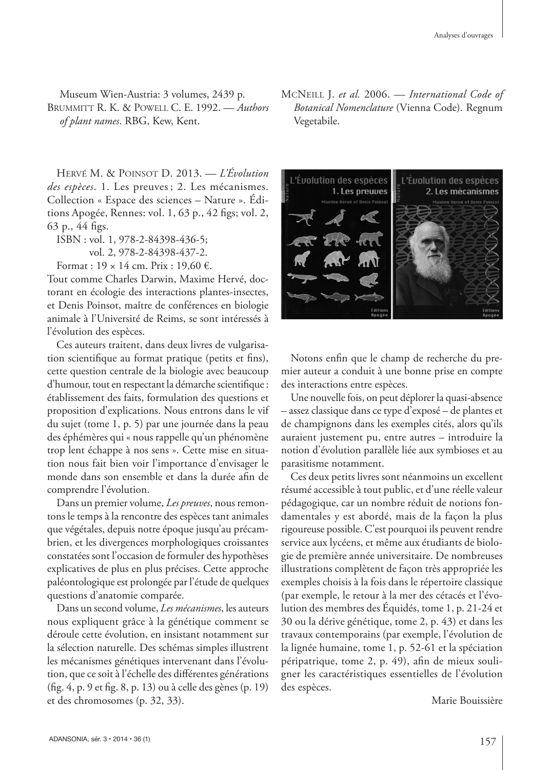Museum Wien-Austria: 3 volumes, 2439 p. Brummitt R. K. & Powell C. E. 1992. — *Authors of plant names*. RBG, Kew, Kent.

Hervé M. & Poinsot D. 2013. — *L'Évolution des espèces*. 1. Les preuves ; 2. Les mécanismes. Collection « Espace des sciences – Nature ». Éditions Apogée, Rennes: vol. 1, 63 p., 42 figs; vol. 2, 63 p., 44 figs.

ISBN : vol. 1, 978-2-84398-436-5; vol. 2, 978-2-84398-437-2.

Format :  $19 \times 14$  cm. Prix :  $19,60 \in$ .

Tout comme Charles Darwin, Maxime Hervé, doctorant en écologie des interactions plantes-insectes, et Denis Poinsot, maître de conférences en biologie animale à l'Université de Reims, se sont intéressés à l'évolution des espèces.

Ces auteurs traitent, dans deux livres de vulgarisation scientifique au format pratique (petits et fins), cette question centrale de la biologie avec beaucoup d'humour, tout en respectant la démarche scientifique: établissement des faits, formulation des questions et proposition d'explications. Nous entrons dans le vif du sujet (tome 1, p. 5) par une journée dans la peau des éphémères qui « nous rappelle qu'un phénomène trop lent échappe à nos sens ». Cette mise en situation nous fait bien voir l'importance d'envisager le monde dans son ensemble et dans la durée afin de comprendre l'évolution.

Dans un premier volume, *Les preuves*, nous remontons le temps à la rencontre des espèces tant animales que végétales, depuis notre époque jusqu'au précambrien, et les divergences morphologiques croissantes constatées sont l'occasion de formuler des hypothèses explicatives de plus en plus précises. Cette approche paléontologique est prolongée par l'étude de quelques questions d'anatomie comparée.

Dans un second volume, *Les mécanismes*, les auteurs nous expliquent grâce à la génétique comment se déroule cette évolution, en insistant notamment sur la sélection naturelle. Des schémas simples illustrent les mécanismes génétiques intervenant dans l'évolution, que ce soit à l'échelle des différentes générations (fig. 4, p. 9 et fig. 8, p. 13) ou à celle des gènes (p. 19) et des chromosomes (p. 32, 33).

McNeill J. *et al.* 2006. — *International Code of Botanical Nomenclature* (Vienna Code). Regnum Vegetabile.



Notons enfin que le champ de recherche du premier auteur a conduit à une bonne prise en compte des interactions entre espèces.

Une nouvelle fois, on peut déplorer la quasi-absence – assez classique dans ce type d'exposé – de plantes et de champignons dans les exemples cités, alors qu'ils auraient justement pu, entre autres – introduire la notion d'évolution parallèle liée aux symbioses et au parasitisme notamment.

Ces deux petits livres sont néanmoins un excellent résumé accessible à tout public, et d'une réelle valeur pédagogique, car un nombre réduit de notions fondamentales y est abordé, mais de la façon la plus rigoureuse possible. C'est pourquoi ils peuvent rendre service aux lycéens, et même aux étudiants de biologie de première année universitaire. De nombreuses illustrations complètent de façon très appropriée les exemples choisis à la fois dans le répertoire classique (par exemple, le retour à la mer des cétacés et l'évolution des membres des Équidés, tome 1, p. 21-24 et 30 ou la dérive génétique, tome 2, p. 43) et dans les travaux contemporains (par exemple, l'évolution de la lignée humaine, tome 1, p. 52-61 et la spéciation péripatrique, tome 2, p. 49), afin de mieux souligner les caractéristiques essentielles de l'évolution des espèces.

Marie Bouissière